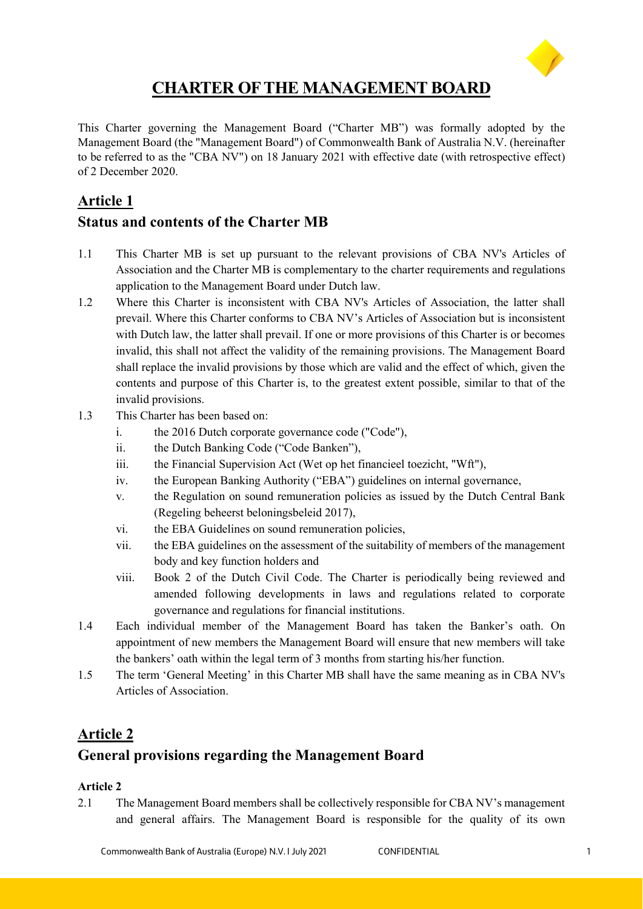

# **CHARTER OF THE MANAGEMENT BOARD**

This Charter governing the Management Board ("Charter MB") was formally adopted by the Management Board (the "Management Board") of Commonwealth Bank of Australia N.V. (hereinafter to be referred to as the "CBA NV") on 18 January 2021 with effective date (with retrospective effect) of 2 December 2020.

# **Article 1**

# **Status and contents of the Charter MB**

- 1.1 This Charter MB is set up pursuant to the relevant provisions of CBA NV's Articles of Association and the Charter MB is complementary to the charter requirements and regulations application to the Management Board under Dutch law.
- 1.2 Where this Charter is inconsistent with CBA NV's Articles of Association, the latter shall prevail. Where this Charter conforms to CBA NV's Articles of Association but is inconsistent with Dutch law, the latter shall prevail. If one or more provisions of this Charter is or becomes invalid, this shall not affect the validity of the remaining provisions. The Management Board shall replace the invalid provisions by those which are valid and the effect of which, given the contents and purpose of this Charter is, to the greatest extent possible, similar to that of the invalid provisions.
- 1.3 This Charter has been based on:
	- i. the 2016 Dutch corporate governance code ("Code"),
	- ii. the Dutch Banking Code ("Code Banken"),
	- iii. the Financial Supervision Act (Wet op het financieel toezicht, "Wft"),
	- iv. the European Banking Authority ("EBA") guidelines on internal governance,
	- v. the Regulation on sound remuneration policies as issued by the Dutch Central Bank (Regeling beheerst beloningsbeleid 2017),
	- vi. the EBA Guidelines on sound remuneration policies,
	- vii. the EBA guidelines on the assessment of the suitability of members of the management body and key function holders and
	- viii. Book 2 of the Dutch Civil Code. The Charter is periodically being reviewed and amended following developments in laws and regulations related to corporate governance and regulations for financial institutions.
- 1.4 Each individual member of the Management Board has taken the Banker's oath. On appointment of new members the Management Board will ensure that new members will take the bankers' oath within the legal term of 3 months from starting his/her function.
- 1.5 The term 'General Meeting' in this Charter MB shall have the same meaning as in CBA NV's Articles of Association.

# **Article 2**

# **General provisions regarding the Management Board**

### **Article 2**

2.1 The Management Board members shall be collectively responsible for CBA NV's management and general affairs. The Management Board is responsible for the quality of its own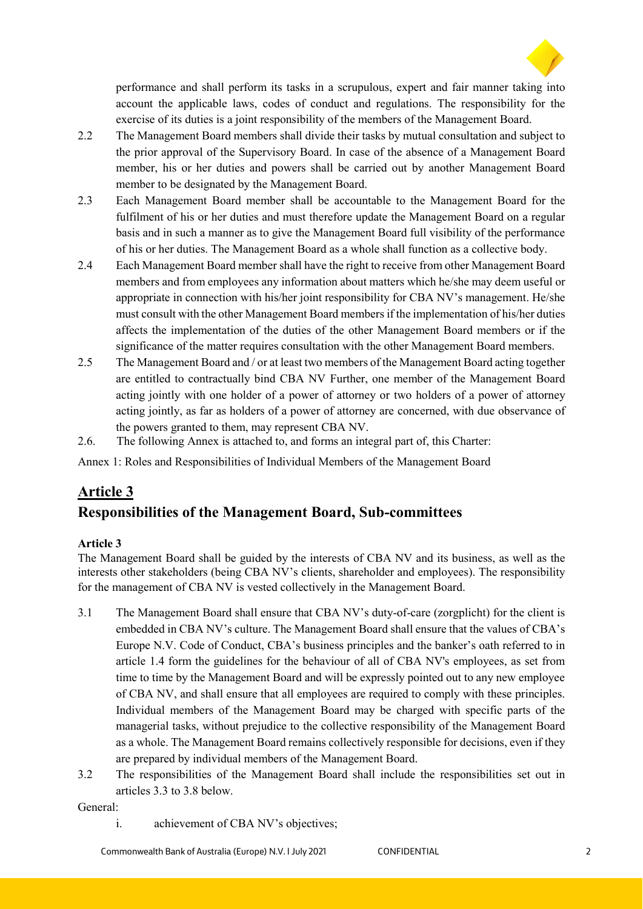

performance and shall perform its tasks in a scrupulous, expert and fair manner taking into account the applicable laws, codes of conduct and regulations. The responsibility for the exercise of its duties is a joint responsibility of the members of the Management Board.

- 2.2 The Management Board members shall divide their tasks by mutual consultation and subject to the prior approval of the Supervisory Board. In case of the absence of a Management Board member, his or her duties and powers shall be carried out by another Management Board member to be designated by the Management Board.
- 2.3 Each Management Board member shall be accountable to the Management Board for the fulfilment of his or her duties and must therefore update the Management Board on a regular basis and in such a manner as to give the Management Board full visibility of the performance of his or her duties. The Management Board as a whole shall function as a collective body.
- 2.4 Each Management Board member shall have the right to receive from other Management Board members and from employees any information about matters which he/she may deem useful or appropriate in connection with his/her joint responsibility for CBA NV's management. He/she must consult with the other Management Board members if the implementation of his/her duties affects the implementation of the duties of the other Management Board members or if the significance of the matter requires consultation with the other Management Board members.
- 2.5 The Management Board and / or at least two members of the Management Board acting together are entitled to contractually bind CBA NV Further, one member of the Management Board acting jointly with one holder of a power of attorney or two holders of a power of attorney acting jointly, as far as holders of a power of attorney are concerned, with due observance of the powers granted to them, may represent CBA NV.
- 2.6. The following Annex is attached to, and forms an integral part of, this Charter:

Annex 1: Roles and Responsibilities of Individual Members of the Management Board

# **Article 3 Responsibilities of the Management Board, Sub-committees**

### **Article 3**

The Management Board shall be guided by the interests of CBA NV and its business, as well as the interests other stakeholders (being CBA NV's clients, shareholder and employees). The responsibility for the management of CBA NV is vested collectively in the Management Board.

- 3.1 The Management Board shall ensure that CBA NV's duty-of-care (zorgplicht) for the client is embedded in CBA NV's culture. The Management Board shall ensure that the values of CBA's Europe N.V. Code of Conduct, CBA's business principles and the banker's oath referred to in article 1.4 form the guidelines for the behaviour of all of CBA NV's employees, as set from time to time by the Management Board and will be expressly pointed out to any new employee of CBA NV, and shall ensure that all employees are required to comply with these principles. Individual members of the Management Board may be charged with specific parts of the managerial tasks, without prejudice to the collective responsibility of the Management Board as a whole. The Management Board remains collectively responsible for decisions, even if they are prepared by individual members of the Management Board.
- 3.2 The responsibilities of the Management Board shall include the responsibilities set out in articles 3.3 to 3.8 below.

General:

i. achievement of CBA NV's objectives;

Commonwealth Bank of Australia (Europe) N.V. | July 2021 CONFIDENTIAL 2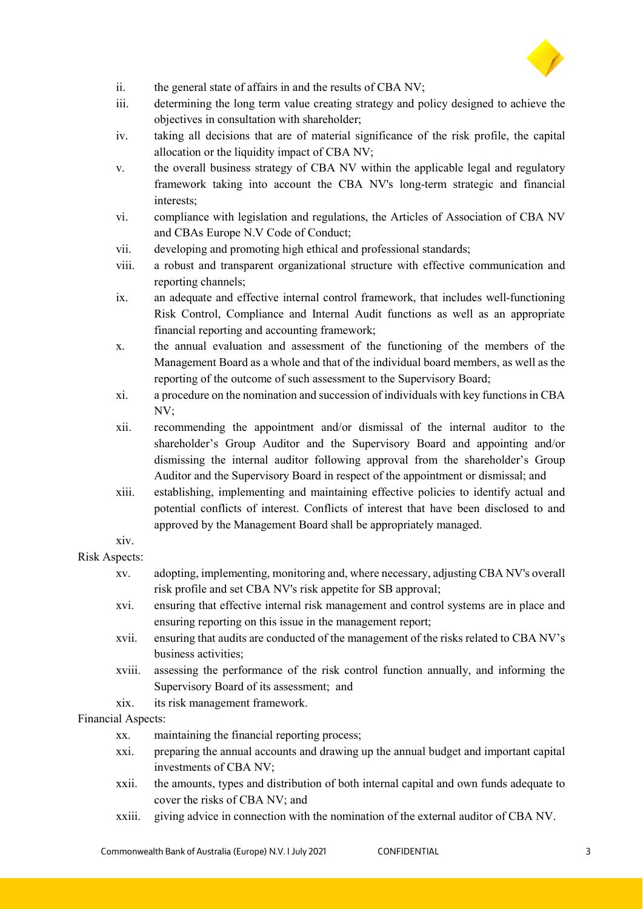

- ii. the general state of affairs in and the results of CBA NV;
- iii. determining the long term value creating strategy and policy designed to achieve the objectives in consultation with shareholder;
- iv. taking all decisions that are of material significance of the risk profile, the capital allocation or the liquidity impact of CBA NV;
- v. the overall business strategy of CBA NV within the applicable legal and regulatory framework taking into account the CBA NV's long-term strategic and financial interests;
- vi. compliance with legislation and regulations, the Articles of Association of CBA NV and CBAs Europe N.V Code of Conduct;
- vii. developing and promoting high ethical and professional standards;
- viii. a robust and transparent organizational structure with effective communication and reporting channels;
- ix. an adequate and effective internal control framework, that includes well-functioning Risk Control, Compliance and Internal Audit functions as well as an appropriate financial reporting and accounting framework;
- x. the annual evaluation and assessment of the functioning of the members of the Management Board as a whole and that of the individual board members, as well as the reporting of the outcome of such assessment to the Supervisory Board;
- xi. a procedure on the nomination and succession of individuals with key functions in CBA NV;
- xii. recommending the appointment and/or dismissal of the internal auditor to the shareholder's Group Auditor and the Supervisory Board and appointing and/or dismissing the internal auditor following approval from the shareholder's Group Auditor and the Supervisory Board in respect of the appointment or dismissal; and
- xiii. establishing, implementing and maintaining effective policies to identify actual and potential conflicts of interest. Conflicts of interest that have been disclosed to and approved by the Management Board shall be appropriately managed.

#### xiv. Risk Aspects:

- xv. adopting, implementing, monitoring and, where necessary, adjusting CBA NV's overall risk profile and set CBA NV's risk appetite for SB approval;
	- xvi. ensuring that effective internal risk management and control systems are in place and ensuring reporting on this issue in the management report;
	- xvii. ensuring that audits are conducted of the management of the risks related to CBA NV's business activities;
	- xviii. assessing the performance of the risk control function annually, and informing the Supervisory Board of its assessment; and
	- xix. its risk management framework.

### Financial Aspects:

- xx. maintaining the financial reporting process;
- xxi. preparing the annual accounts and drawing up the annual budget and important capital investments of CBA NV;
- xxii. the amounts, types and distribution of both internal capital and own funds adequate to cover the risks of CBA NV; and
- xxiii. giving advice in connection with the nomination of the external auditor of CBA NV.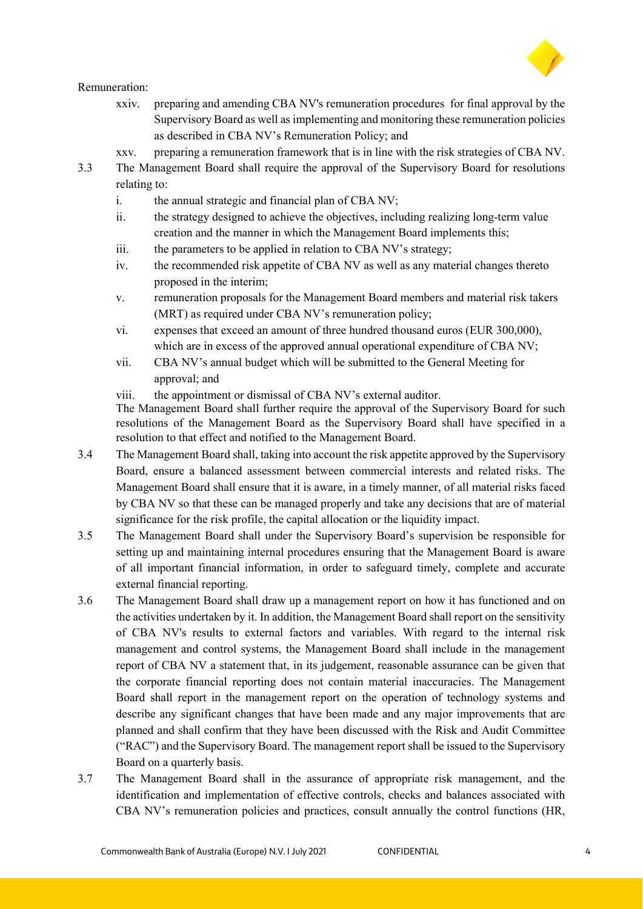

#### Remuneration:

- xxiv. preparing and amending CBA NV's remuneration procedures for final approval by the Supervisory Board as well as implementing and monitoring these remuneration policies as described in CBA NV's Remuneration Policy; and
- xxv. preparing a remuneration framework that is in line with the risk strategies of CBA NV.
- 3.3 The Management Board shall require the approval of the Supervisory Board for resolutions relating to:
	- i. the annual strategic and financial plan of CBA NV;
	- ii. the strategy designed to achieve the objectives, including realizing long-term value creation and the manner in which the Management Board implements this;
	- iii. the parameters to be applied in relation to CBA NV's strategy;
	- iv. the recommended risk appetite of CBA NV as well as any material changes thereto proposed in the interim;
	- v. remuneration proposals for the Management Board members and material risk takers (MRT) as required under CBA NV's remuneration policy;
	- vi. expenses that exceed an amount of three hundred thousand euros (EUR 300,000), which are in excess of the approved annual operational expenditure of CBA NV;
	- vii. CBA NV's annual budget which will be submitted to the General Meeting for approval; and
	- viii. the appointment or dismissal of CBA NV's external auditor.

The Management Board shall further require the approval of the Supervisory Board for such resolutions of the Management Board as the Supervisory Board shall have specified in a resolution to that effect and notified to the Management Board.

- 3.4 The Management Board shall, taking into account the risk appetite approved by the Supervisory Board, ensure a balanced assessment between commercial interests and related risks. The Management Board shall ensure that it is aware, in a timely manner, of all material risks faced by CBA NV so that these can be managed properly and take any decisions that are of material significance for the risk profile, the capital allocation or the liquidity impact.
- 3.5 The Management Board shall under the Supervisory Board's supervision be responsible for setting up and maintaining internal procedures ensuring that the Management Board is aware of all important financial information, in order to safeguard timely, complete and accurate external financial reporting.
- 3.6 The Management Board shall draw up a management report on how it has functioned and on the activities undertaken by it. In addition, the Management Board shall report on the sensitivity of CBA NV's results to external factors and variables. With regard to the internal risk management and control systems, the Management Board shall include in the management report of CBA NV a statement that, in its judgement, reasonable assurance can be given that the corporate financial reporting does not contain material inaccuracies. The Management Board shall report in the management report on the operation of technology systems and describe any significant changes that have been made and any major improvements that are planned and shall confirm that they have been discussed with the Risk and Audit Committee ("RAC") and the Supervisory Board. The management report shall be issued to the Supervisory Board on a quarterly basis.
- 3.7 The Management Board shall in the assurance of appropriate risk management, and the identification and implementation of effective controls, checks and balances associated with CBA NV's remuneration policies and practices, consult annually the control functions (HR,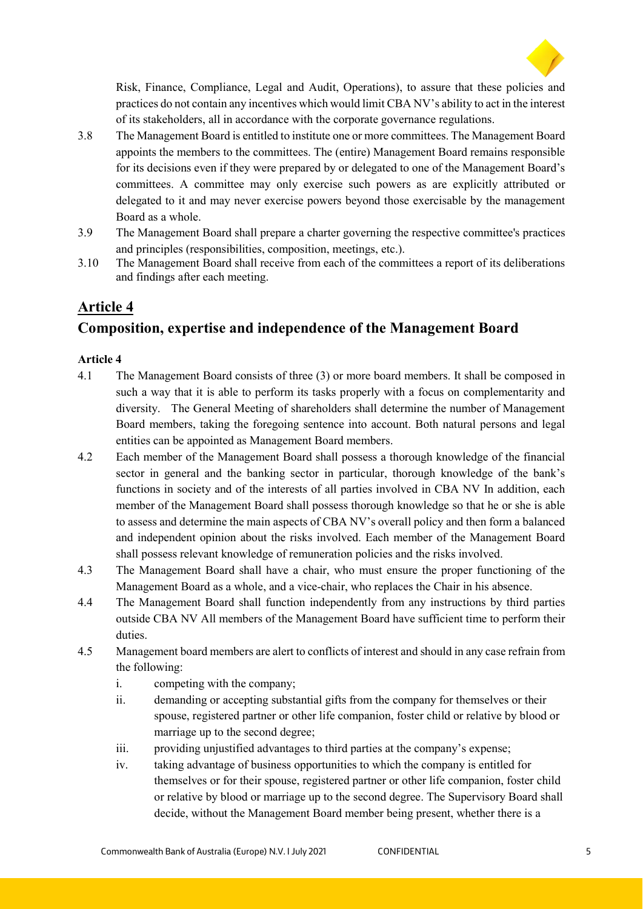

Risk, Finance, Compliance, Legal and Audit, Operations), to assure that these policies and practices do not contain any incentives which would limit CBA NV's ability to act in the interest of its stakeholders, all in accordance with the corporate governance regulations.

- 3.8 The Management Board is entitled to institute one or more committees. The Management Board appoints the members to the committees. The (entire) Management Board remains responsible for its decisions even if they were prepared by or delegated to one of the Management Board's committees. A committee may only exercise such powers as are explicitly attributed or delegated to it and may never exercise powers beyond those exercisable by the management Board as a whole.
- 3.9 The Management Board shall prepare a charter governing the respective committee's practices and principles (responsibilities, composition, meetings, etc.).
- 3.10 The Management Board shall receive from each of the committees a report of its deliberations and findings after each meeting.

### **Article 4**

# **Composition, expertise and independence of the Management Board**

- 4.1 The Management Board consists of three (3) or more board members. It shall be composed in such a way that it is able to perform its tasks properly with a focus on complementarity and diversity. The General Meeting of shareholders shall determine the number of Management Board members, taking the foregoing sentence into account. Both natural persons and legal entities can be appointed as Management Board members.
- 4.2 Each member of the Management Board shall possess a thorough knowledge of the financial sector in general and the banking sector in particular, thorough knowledge of the bank's functions in society and of the interests of all parties involved in CBA NV In addition, each member of the Management Board shall possess thorough knowledge so that he or she is able to assess and determine the main aspects of CBA NV's overall policy and then form a balanced and independent opinion about the risks involved. Each member of the Management Board shall possess relevant knowledge of remuneration policies and the risks involved.
- 4.3 The Management Board shall have a chair, who must ensure the proper functioning of the Management Board as a whole, and a vice-chair, who replaces the Chair in his absence.
- 4.4 The Management Board shall function independently from any instructions by third parties outside CBA NV All members of the Management Board have sufficient time to perform their duties.
- 4.5 Management board members are alert to conflicts of interest and should in any case refrain from the following:
	- i. competing with the company;
	- ii. demanding or accepting substantial gifts from the company for themselves or their spouse, registered partner or other life companion, foster child or relative by blood or marriage up to the second degree;
	- iii. providing unjustified advantages to third parties at the company's expense;
	- iv. taking advantage of business opportunities to which the company is entitled for themselves or for their spouse, registered partner or other life companion, foster child or relative by blood or marriage up to the second degree. The Supervisory Board shall decide, without the Management Board member being present, whether there is a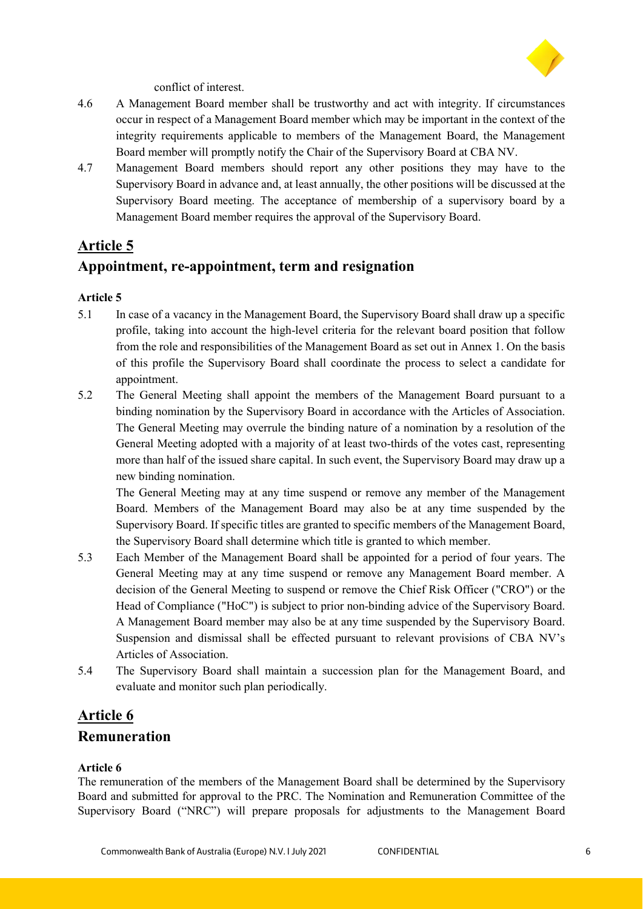

conflict of interest.

- 4.6 A Management Board member shall be trustworthy and act with integrity. If circumstances occur in respect of a Management Board member which may be important in the context of the integrity requirements applicable to members of the Management Board, the Management Board member will promptly notify the Chair of the Supervisory Board at CBA NV.
- 4.7 Management Board members should report any other positions they may have to the Supervisory Board in advance and, at least annually, the other positions will be discussed at the Supervisory Board meeting. The acceptance of membership of a supervisory board by a Management Board member requires the approval of the Supervisory Board.

### **Article 5**

### **Appointment, re-appointment, term and resignation**

### **Article 5**

- 5.1 In case of a vacancy in the Management Board, the Supervisory Board shall draw up a specific profile, taking into account the high-level criteria for the relevant board position that follow from the role and responsibilities of the Management Board as set out in Annex 1. On the basis of this profile the Supervisory Board shall coordinate the process to select a candidate for appointment.
- 5.2 The General Meeting shall appoint the members of the Management Board pursuant to a binding nomination by the Supervisory Board in accordance with the Articles of Association. The General Meeting may overrule the binding nature of a nomination by a resolution of the General Meeting adopted with a majority of at least two-thirds of the votes cast, representing more than half of the issued share capital. In such event, the Supervisory Board may draw up a new binding nomination.

The General Meeting may at any time suspend or remove any member of the Management Board. Members of the Management Board may also be at any time suspended by the Supervisory Board. If specific titles are granted to specific members of the Management Board, the Supervisory Board shall determine which title is granted to which member.

- 5.3 Each Member of the Management Board shall be appointed for a period of four years. The General Meeting may at any time suspend or remove any Management Board member. A decision of the General Meeting to suspend or remove the Chief Risk Officer ("CRO") or the Head of Compliance ("HoC") is subject to prior non-binding advice of the Supervisory Board. A Management Board member may also be at any time suspended by the Supervisory Board. Suspension and dismissal shall be effected pursuant to relevant provisions of CBA NV's Articles of Association.
- 5.4 The Supervisory Board shall maintain a succession plan for the Management Board, and evaluate and monitor such plan periodically.

### **Article 6 Remuneration**

### **Article 6**

The remuneration of the members of the Management Board shall be determined by the Supervisory Board and submitted for approval to the PRC. The Nomination and Remuneration Committee of the Supervisory Board ("NRC") will prepare proposals for adjustments to the Management Board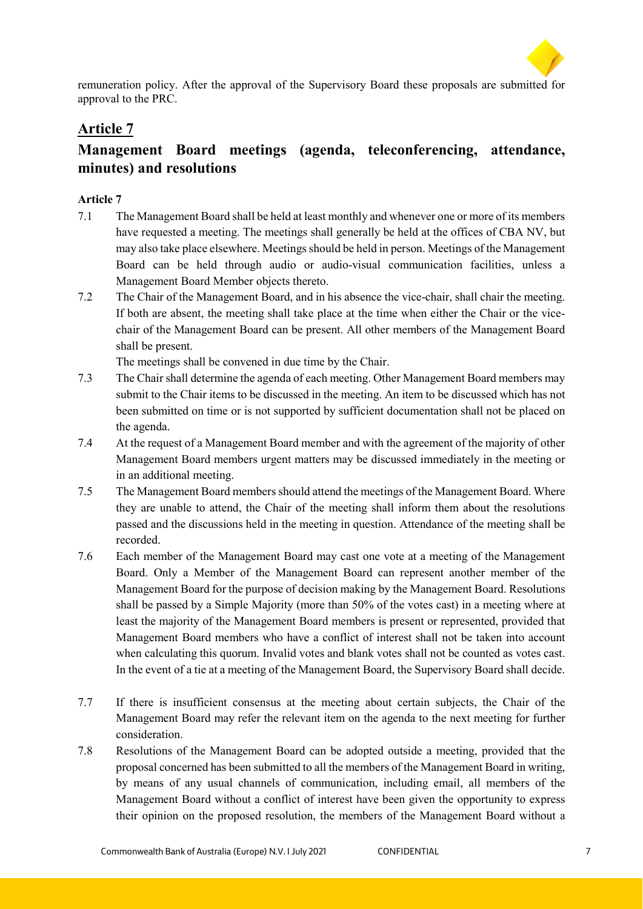

remuneration policy. After the approval of the Supervisory Board these proposals are submitted for approval to the PRC.

# **Article 7**

# **Management Board meetings (agenda, teleconferencing, attendance, minutes) and resolutions**

### **Article 7**

- 7.1 The Management Board shall be held at least monthly and whenever one or more of its members have requested a meeting. The meetings shall generally be held at the offices of CBA NV, but may also take place elsewhere. Meetings should be held in person. Meetings of the Management Board can be held through audio or audio-visual communication facilities, unless a Management Board Member objects thereto.
- 7.2 The Chair of the Management Board, and in his absence the vice-chair, shall chair the meeting. If both are absent, the meeting shall take place at the time when either the Chair or the vicechair of the Management Board can be present. All other members of the Management Board shall be present.

The meetings shall be convened in due time by the Chair.

- 7.3 The Chair shall determine the agenda of each meeting. Other Management Board members may submit to the Chair items to be discussed in the meeting. An item to be discussed which has not been submitted on time or is not supported by sufficient documentation shall not be placed on the agenda.
- 7.4 At the request of a Management Board member and with the agreement of the majority of other Management Board members urgent matters may be discussed immediately in the meeting or in an additional meeting.
- 7.5 The Management Board members should attend the meetings of the Management Board. Where they are unable to attend, the Chair of the meeting shall inform them about the resolutions passed and the discussions held in the meeting in question. Attendance of the meeting shall be recorded.
- 7.6 Each member of the Management Board may cast one vote at a meeting of the Management Board. Only a Member of the Management Board can represent another member of the Management Board for the purpose of decision making by the Management Board. Resolutions shall be passed by a Simple Majority (more than 50% of the votes cast) in a meeting where at least the majority of the Management Board members is present or represented, provided that Management Board members who have a conflict of interest shall not be taken into account when calculating this quorum. Invalid votes and blank votes shall not be counted as votes cast. In the event of a tie at a meeting of the Management Board, the Supervisory Board shall decide.
- 7.7 If there is insufficient consensus at the meeting about certain subjects, the Chair of the Management Board may refer the relevant item on the agenda to the next meeting for further consideration.
- 7.8 Resolutions of the Management Board can be adopted outside a meeting, provided that the proposal concerned has been submitted to all the members of the Management Board in writing, by means of any usual channels of communication, including email, all members of the Management Board without a conflict of interest have been given the opportunity to express their opinion on the proposed resolution, the members of the Management Board without a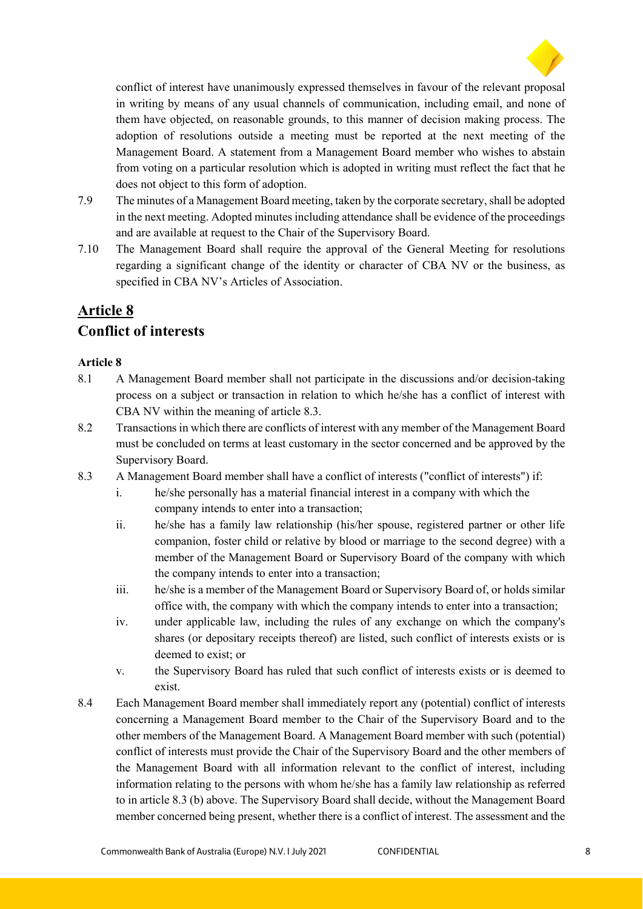

conflict of interest have unanimously expressed themselves in favour of the relevant proposal in writing by means of any usual channels of communication, including email, and none of them have objected, on reasonable grounds, to this manner of decision making process. The adoption of resolutions outside a meeting must be reported at the next meeting of the Management Board. A statement from a Management Board member who wishes to abstain from voting on a particular resolution which is adopted in writing must reflect the fact that he does not object to this form of adoption.

- 7.9 The minutes of a Management Board meeting, taken by the corporate secretary, shall be adopted in the next meeting. Adopted minutes including attendance shall be evidence of the proceedings and are available at request to the Chair of the Supervisory Board.
- 7.10 The Management Board shall require the approval of the General Meeting for resolutions regarding a significant change of the identity or character of CBA NV or the business, as specified in CBA NV's Articles of Association.

# **Article 8**

# **Conflict of interests**

- 8.1 A Management Board member shall not participate in the discussions and/or decision-taking process on a subject or transaction in relation to which he/she has a conflict of interest with CBA NV within the meaning of article 8.3.
- 8.2 Transactions in which there are conflicts of interest with any member of the Management Board must be concluded on terms at least customary in the sector concerned and be approved by the Supervisory Board.
- 8.3 A Management Board member shall have a conflict of interests ("conflict of interests") if:
	- i. he/she personally has a material financial interest in a company with which the company intends to enter into a transaction;
	- ii. he/she has a family law relationship (his/her spouse, registered partner or other life companion, foster child or relative by blood or marriage to the second degree) with a member of the Management Board or Supervisory Board of the company with which the company intends to enter into a transaction;
	- iii. he/she is a member of the Management Board or Supervisory Board of, or holds similar office with, the company with which the company intends to enter into a transaction;
	- iv. under applicable law, including the rules of any exchange on which the company's shares (or depositary receipts thereof) are listed, such conflict of interests exists or is deemed to exist; or
	- v. the Supervisory Board has ruled that such conflict of interests exists or is deemed to exist.
- 8.4 Each Management Board member shall immediately report any (potential) conflict of interests concerning a Management Board member to the Chair of the Supervisory Board and to the other members of the Management Board. A Management Board member with such (potential) conflict of interests must provide the Chair of the Supervisory Board and the other members of the Management Board with all information relevant to the conflict of interest, including information relating to the persons with whom he/she has a family law relationship as referred to in article 8.3 (b) above. The Supervisory Board shall decide, without the Management Board member concerned being present, whether there is a conflict of interest. The assessment and the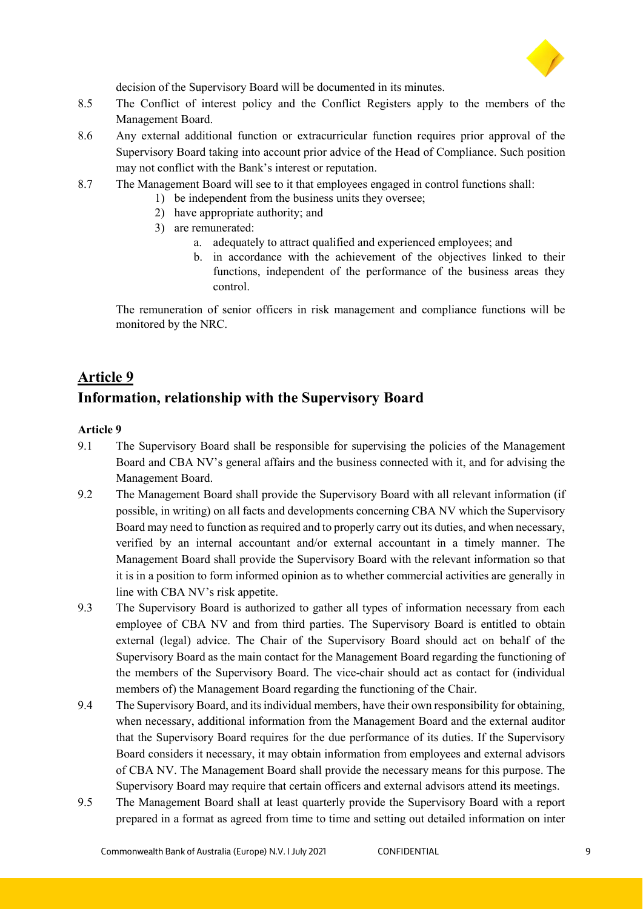

decision of the Supervisory Board will be documented in its minutes.

- 8.5 The Conflict of interest policy and the Conflict Registers apply to the members of the Management Board.
- 8.6 Any external additional function or extracurricular function requires prior approval of the Supervisory Board taking into account prior advice of the Head of Compliance. Such position may not conflict with the Bank's interest or reputation.
- 8.7 The Management Board will see to it that employees engaged in control functions shall:
	- 1) be independent from the business units they oversee;
	- 2) have appropriate authority; and
	- 3) are remunerated:
		- a. adequately to attract qualified and experienced employees; and
		- b. in accordance with the achievement of the objectives linked to their functions, independent of the performance of the business areas they control.

The remuneration of senior officers in risk management and compliance functions will be monitored by the NRC.

### **Article 9**

### **Information, relationship with the Supervisory Board**

- 9.1 The Supervisory Board shall be responsible for supervising the policies of the Management Board and CBA NV's general affairs and the business connected with it, and for advising the Management Board.
- 9.2 The Management Board shall provide the Supervisory Board with all relevant information (if possible, in writing) on all facts and developments concerning CBA NV which the Supervisory Board may need to function as required and to properly carry out its duties, and when necessary, verified by an internal accountant and/or external accountant in a timely manner. The Management Board shall provide the Supervisory Board with the relevant information so that it is in a position to form informed opinion as to whether commercial activities are generally in line with CBA NV's risk appetite.
- 9.3 The Supervisory Board is authorized to gather all types of information necessary from each employee of CBA NV and from third parties. The Supervisory Board is entitled to obtain external (legal) advice. The Chair of the Supervisory Board should act on behalf of the Supervisory Board as the main contact for the Management Board regarding the functioning of the members of the Supervisory Board. The vice-chair should act as contact for (individual members of) the Management Board regarding the functioning of the Chair.
- 9.4 The Supervisory Board, and its individual members, have their own responsibility for obtaining, when necessary, additional information from the Management Board and the external auditor that the Supervisory Board requires for the due performance of its duties. If the Supervisory Board considers it necessary, it may obtain information from employees and external advisors of CBA NV. The Management Board shall provide the necessary means for this purpose. The Supervisory Board may require that certain officers and external advisors attend its meetings.
- 9.5 The Management Board shall at least quarterly provide the Supervisory Board with a report prepared in a format as agreed from time to time and setting out detailed information on inter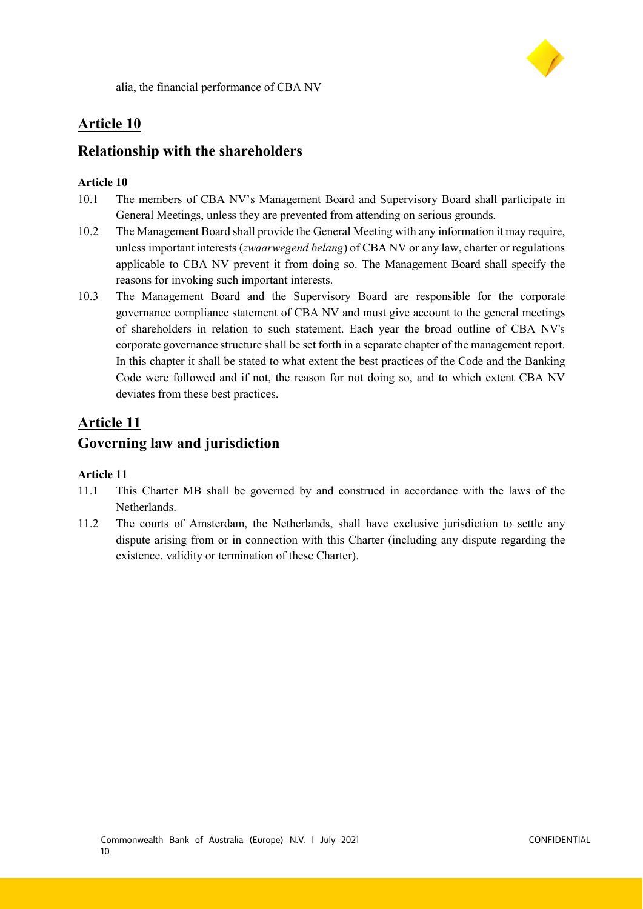

alia, the financial performance of CBA NV

### **Article 10**

### **Relationship with the shareholders**

### **Article 10**

- 10.1 The members of CBA NV's Management Board and Supervisory Board shall participate in General Meetings, unless they are prevented from attending on serious grounds.
- 10.2 The Management Board shall provide the General Meeting with any information it may require, unless important interests (*zwaarwegend belang*) of CBA NV or any law, charter or regulations applicable to CBA NV prevent it from doing so. The Management Board shall specify the reasons for invoking such important interests.
- 10.3 The Management Board and the Supervisory Board are responsible for the corporate governance compliance statement of CBA NV and must give account to the general meetings of shareholders in relation to such statement. Each year the broad outline of CBA NV's corporate governance structure shall be set forth in a separate chapter of the management report. In this chapter it shall be stated to what extent the best practices of the Code and the Banking Code were followed and if not, the reason for not doing so, and to which extent CBA NV deviates from these best practices.

# **Article 11 Governing law and jurisdiction**

- 11.1 This Charter MB shall be governed by and construed in accordance with the laws of the Netherlands.
- 11.2 The courts of Amsterdam, the Netherlands, shall have exclusive jurisdiction to settle any dispute arising from or in connection with this Charter (including any dispute regarding the existence, validity or termination of these Charter).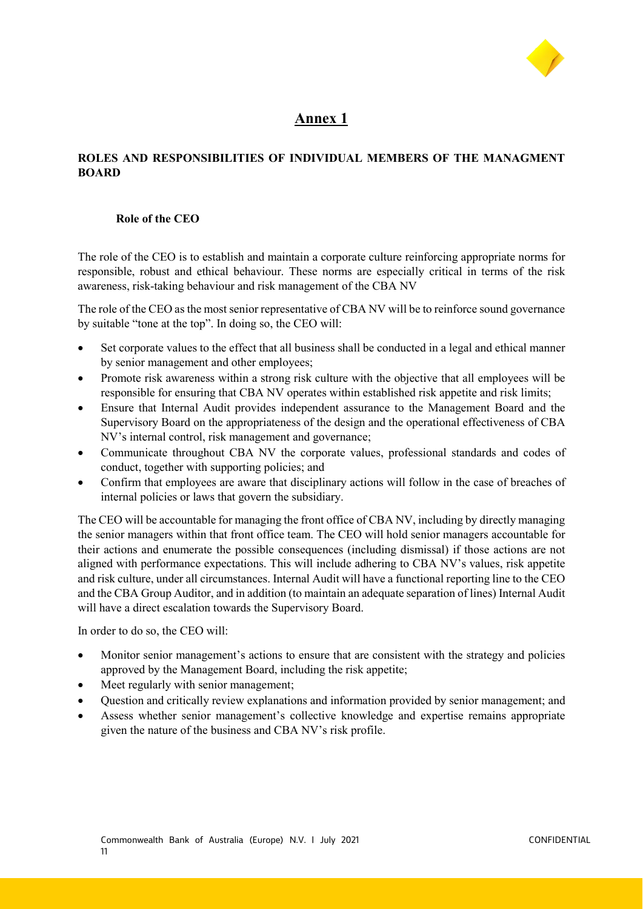

### **Annex 1**

### **ROLES AND RESPONSIBILITIES OF INDIVIDUAL MEMBERS OF THE MANAGMENT BOARD**

#### **Role of the CEO**

The role of the CEO is to establish and maintain a corporate culture reinforcing appropriate norms for responsible, robust and ethical behaviour. These norms are especially critical in terms of the risk awareness, risk-taking behaviour and risk management of the CBA NV

The role of the CEO as the most senior representative of CBA NV will be to reinforce sound governance by suitable "tone at the top". In doing so, the CEO will:

- Set corporate values to the effect that all business shall be conducted in a legal and ethical manner by senior management and other employees;
- Promote risk awareness within a strong risk culture with the objective that all employees will be responsible for ensuring that CBA NV operates within established risk appetite and risk limits;
- Ensure that Internal Audit provides independent assurance to the Management Board and the Supervisory Board on the appropriateness of the design and the operational effectiveness of CBA NV's internal control, risk management and governance;
- Communicate throughout CBA NV the corporate values, professional standards and codes of conduct, together with supporting policies; and
- Confirm that employees are aware that disciplinary actions will follow in the case of breaches of internal policies or laws that govern the subsidiary.

The CEO will be accountable for managing the front office of CBA NV, including by directly managing the senior managers within that front office team. The CEO will hold senior managers accountable for their actions and enumerate the possible consequences (including dismissal) if those actions are not aligned with performance expectations. This will include adhering to CBA NV's values, risk appetite and risk culture, under all circumstances. Internal Audit will have a functional reporting line to the CEO and the CBA Group Auditor, and in addition (to maintain an adequate separation of lines) Internal Audit will have a direct escalation towards the Supervisory Board.

In order to do so, the CEO will:

- Monitor senior management's actions to ensure that are consistent with the strategy and policies approved by the Management Board, including the risk appetite;
- Meet regularly with senior management;
- Question and critically review explanations and information provided by senior management; and
- Assess whether senior management's collective knowledge and expertise remains appropriate given the nature of the business and CBA NV's risk profile.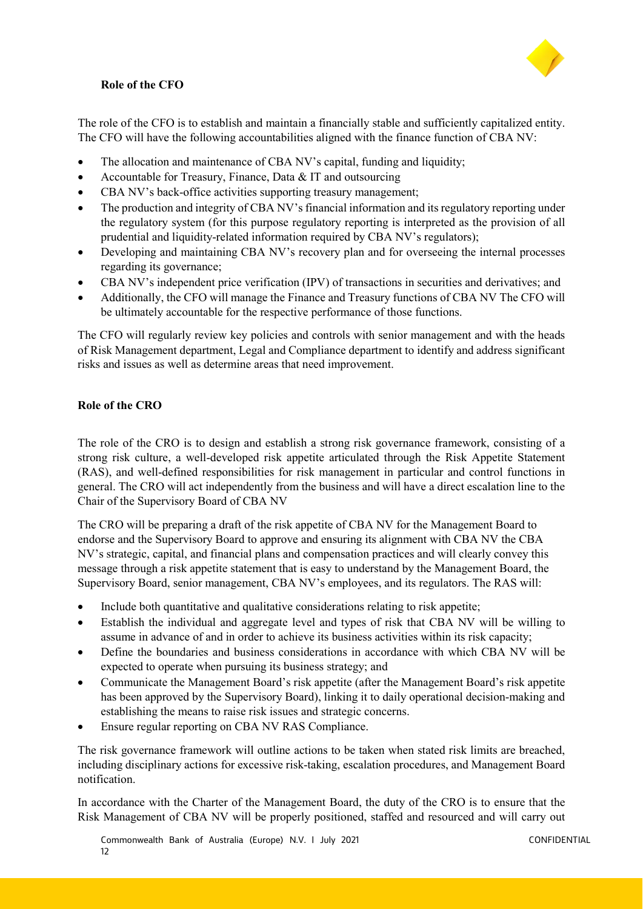#### **Role of the CFO**



The role of the CFO is to establish and maintain a financially stable and sufficiently capitalized entity. The CFO will have the following accountabilities aligned with the finance function of CBA NV:

- The allocation and maintenance of CBA NV's capital, funding and liquidity;
- Accountable for Treasury, Finance, Data & IT and outsourcing
- CBA NV's back-office activities supporting treasury management;
- The production and integrity of CBA NV's financial information and its regulatory reporting under the regulatory system (for this purpose regulatory reporting is interpreted as the provision of all prudential and liquidity-related information required by CBA NV's regulators);
- Developing and maintaining CBA NV's recovery plan and for overseeing the internal processes regarding its governance;
- CBA NV's independent price verification (IPV) of transactions in securities and derivatives; and
- Additionally, the CFO will manage the Finance and Treasury functions of CBA NV The CFO will be ultimately accountable for the respective performance of those functions.

The CFO will regularly review key policies and controls with senior management and with the heads of Risk Management department, Legal and Compliance department to identify and address significant risks and issues as well as determine areas that need improvement.

#### **Role of the CRO**

The role of the CRO is to design and establish a strong risk governance framework, consisting of a strong risk culture, a well-developed risk appetite articulated through the Risk Appetite Statement (RAS), and well-defined responsibilities for risk management in particular and control functions in general. The CRO will act independently from the business and will have a direct escalation line to the Chair of the Supervisory Board of CBA NV

The CRO will be preparing a draft of the risk appetite of CBA NV for the Management Board to endorse and the Supervisory Board to approve and ensuring its alignment with CBA NV the CBA NV's strategic, capital, and financial plans and compensation practices and will clearly convey this message through a risk appetite statement that is easy to understand by the Management Board, the Supervisory Board, senior management, CBA NV's employees, and its regulators. The RAS will:

- Include both quantitative and qualitative considerations relating to risk appetite;
- Establish the individual and aggregate level and types of risk that CBA NV will be willing to assume in advance of and in order to achieve its business activities within its risk capacity;
- Define the boundaries and business considerations in accordance with which CBA NV will be expected to operate when pursuing its business strategy; and
- Communicate the Management Board's risk appetite (after the Management Board's risk appetite has been approved by the Supervisory Board), linking it to daily operational decision-making and establishing the means to raise risk issues and strategic concerns.
- Ensure regular reporting on CBA NV RAS Compliance.

The risk governance framework will outline actions to be taken when stated risk limits are breached, including disciplinary actions for excessive risk-taking, escalation procedures, and Management Board notification.

In accordance with the Charter of the Management Board, the duty of the CRO is to ensure that the Risk Management of CBA NV will be properly positioned, staffed and resourced and will carry out